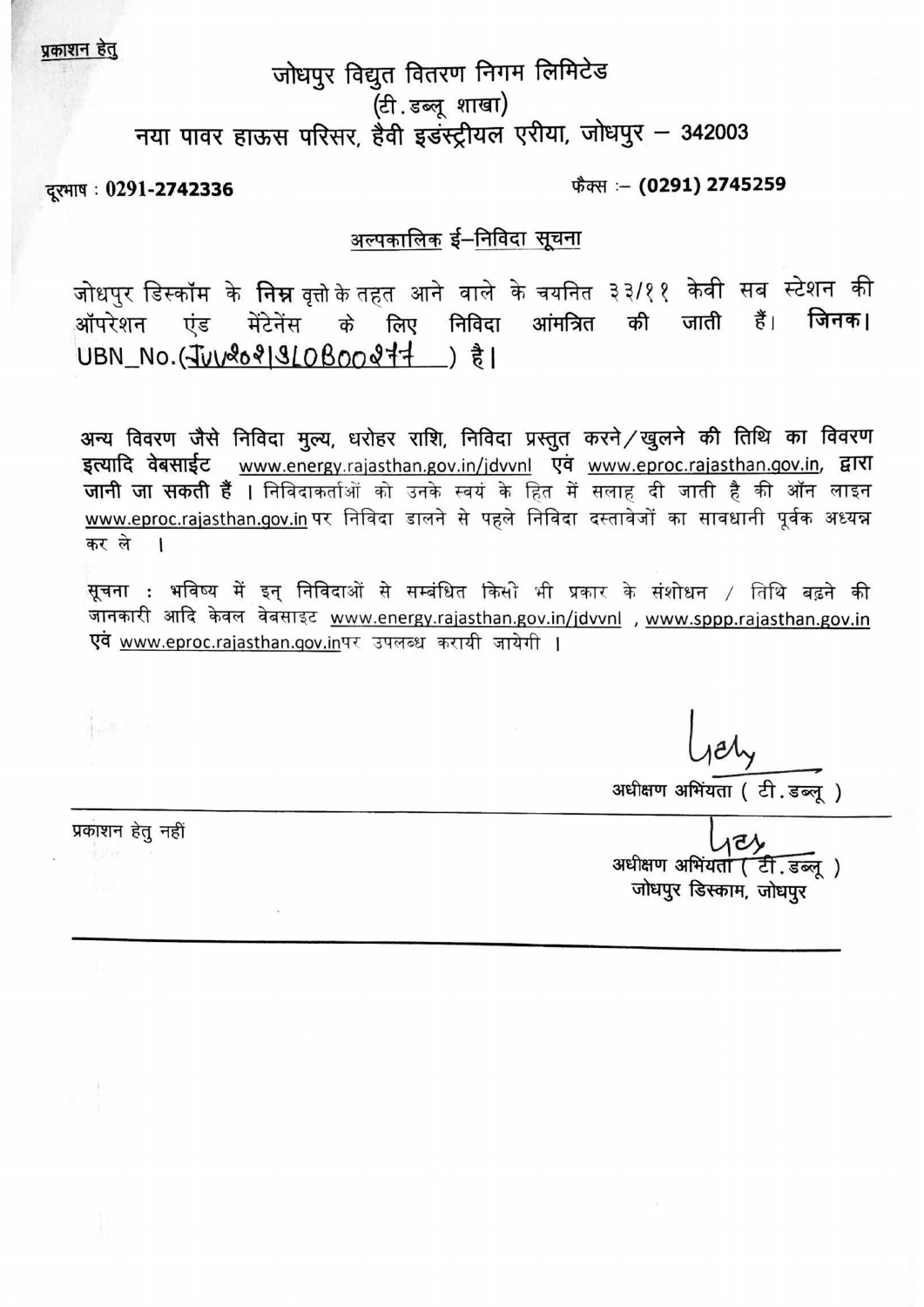प्रकाशन हेतु

# जोधपुर विद्युत वितरण निगम लिमिटेड (टी.डब्लूशाखा) नया पावर हाऊस परिसर, हैवी इडस्ट्रीयल एरीया, जोधपुर - 342003

दूरभाष: 0291-2742336

फैक्स :- (0291) 2745259

## अल्पकालिक ई–निविदा सूचना

जोधपुर डिस्कॉम के **निम्न** वृत्तो*के* तहत आने वाले के चयनित ३३/११ केवी सब स्टेशन की 言 आंमत्रित की जाती जिनक। मेंटेनेंस के लिए निविदा ऑपरेशन एंड UBN No. (JUV2021910B00277) à1

अन्य विवरण जैसे निविदा मूल्य, धरोहर राशि, निविदा प्रस्तुत करने / खुलने की तिथि का विवरण इत्यादि वेबसाईट www.energy.rajasthan.gov.in/jdvvnl एवं www.eproc.rajasthan.gov.in, द्वारा जानी जा सकती हैं । निविदाकर्ताओं को उनके स्वयं के हित में सलाह दी जाती है की ऑन लाइन www.eproc.raiasthan.gov.in पर निविदा डालने से पहले निविदा दस्तावेजों का सावधानी पूर्वक अध्यन्न कर ले  $\mathbf{I}$ 

सूचना : भविष्य में इन् निविदाओं से सम्बंधित किसी भी प्रकार के संशोधन / तिथि बढ़ने की जानकारी आदि केवल वेबसाइट www.energy.rajasthan.gov.in/jdvvnl , www.sppp.rajasthan.gov.in एवं www.eproc.rajasthan.gov.inपर उपलब्ध करायी जायेगी ।

अधीक्षण अभियता (टी.डब्ल्)

प्रकाशन हेतु नहीं

अधीक्षण अभियता (टी.डब्लु) जोधपुर डिस्काम, जोधपुर